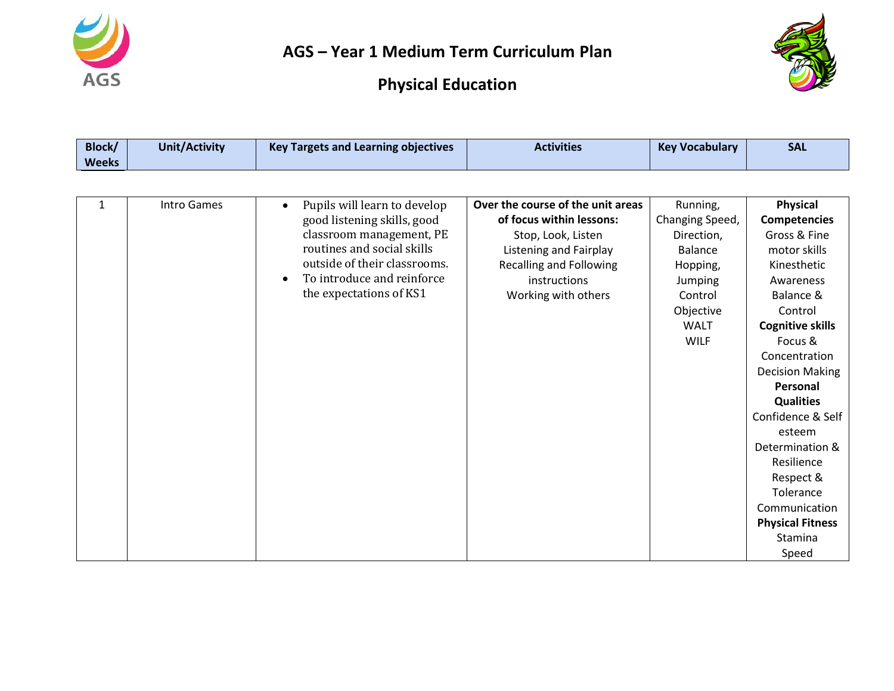



| <b>Block/</b> | <b>Unit/Activity</b> | <b>Key Targets and Learning objectives</b> | <b>Activities</b>                 | <b>Key Vocabulary</b> | <b>SAL</b>              |
|---------------|----------------------|--------------------------------------------|-----------------------------------|-----------------------|-------------------------|
| <b>Weeks</b>  |                      |                                            |                                   |                       |                         |
|               |                      |                                            |                                   |                       |                         |
| 1             | <b>Intro Games</b>   | Pupils will learn to develop               | Over the course of the unit areas | Running,              | <b>Physical</b>         |
|               |                      | good listening skills, good                | of focus within lessons:          | Changing Speed,       | <b>Competencies</b>     |
|               |                      | classroom management, PE                   | Stop, Look, Listen                | Direction,            | Gross & Fine            |
|               |                      | routines and social skills                 | <b>Listening and Fairplay</b>     | <b>Balance</b>        | motor skills            |
|               |                      | outside of their classrooms.               | <b>Recalling and Following</b>    | Hopping,              | Kinesthetic             |
|               |                      | To introduce and reinforce<br>$\bullet$    | instructions                      | Jumping               | Awareness               |
|               |                      | the expectations of KS1                    | Working with others               | Control               | Balance &               |
|               |                      |                                            |                                   | Objective             | Control                 |
|               |                      |                                            |                                   | <b>WALT</b>           | <b>Cognitive skills</b> |
|               |                      |                                            |                                   | <b>WILF</b>           | Focus &                 |
|               |                      |                                            |                                   |                       | Concentration           |
|               |                      |                                            |                                   |                       | <b>Decision Making</b>  |
|               |                      |                                            |                                   |                       | Personal                |
|               |                      |                                            |                                   |                       | <b>Qualities</b>        |
|               |                      |                                            |                                   |                       | Confidence & Self       |
|               |                      |                                            |                                   |                       | esteem                  |
|               |                      |                                            |                                   |                       | Determination &         |
|               |                      |                                            |                                   |                       | Resilience              |
|               |                      |                                            |                                   |                       | Respect &               |
|               |                      |                                            |                                   |                       | Tolerance               |
|               |                      |                                            |                                   |                       | Communication           |
|               |                      |                                            |                                   |                       | <b>Physical Fitness</b> |
|               |                      |                                            |                                   |                       | Stamina                 |
|               |                      |                                            |                                   |                       | Speed                   |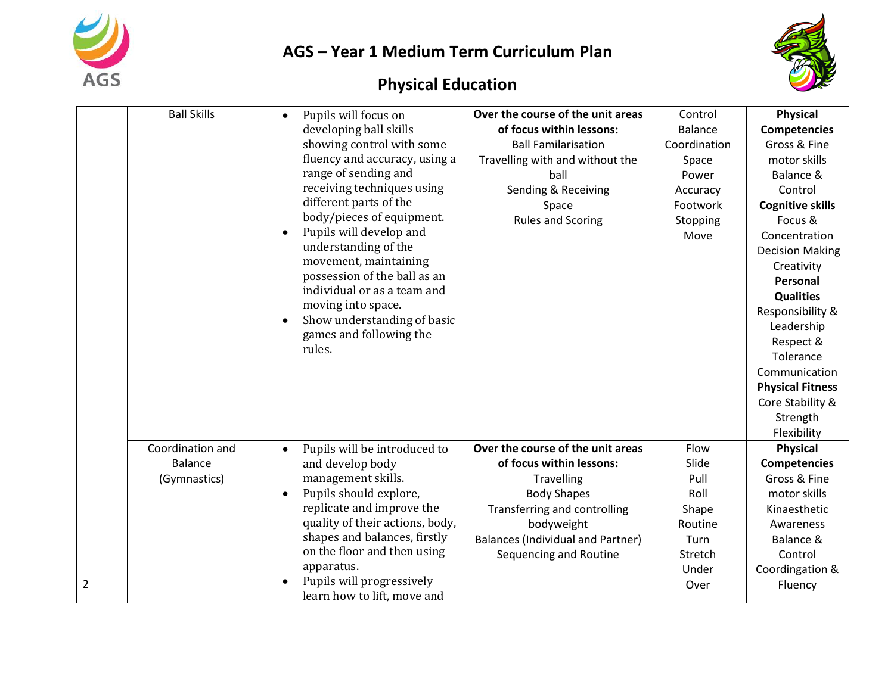



|                | <b>Ball Skills</b> | Pupils will focus on<br>$\bullet$         | Over the course of the unit areas        | Control        | <b>Physical</b>         |
|----------------|--------------------|-------------------------------------------|------------------------------------------|----------------|-------------------------|
|                |                    | developing ball skills                    | of focus within lessons:                 | <b>Balance</b> | <b>Competencies</b>     |
|                |                    | showing control with some                 | <b>Ball Familarisation</b>               | Coordination   | Gross & Fine            |
|                |                    | fluency and accuracy, using a             | Travelling with and without the          | Space          | motor skills            |
|                |                    | range of sending and                      | ball                                     | Power          | Balance &               |
|                |                    | receiving techniques using                | Sending & Receiving                      | Accuracy       | Control                 |
|                |                    | different parts of the                    | Space                                    | Footwork       | <b>Cognitive skills</b> |
|                |                    | body/pieces of equipment.                 | <b>Rules and Scoring</b>                 | Stopping       | Focus &                 |
|                |                    | Pupils will develop and                   |                                          | Move           | Concentration           |
|                |                    | understanding of the                      |                                          |                | <b>Decision Making</b>  |
|                |                    | movement, maintaining                     |                                          |                | Creativity              |
|                |                    | possession of the ball as an              |                                          |                | Personal                |
|                |                    | individual or as a team and               |                                          |                | <b>Qualities</b>        |
|                |                    | moving into space.                        |                                          |                | Responsibility &        |
|                |                    | Show understanding of basic               |                                          |                | Leadership              |
|                |                    | games and following the                   |                                          |                | Respect &               |
|                |                    | rules.                                    |                                          |                | Tolerance               |
|                |                    |                                           |                                          |                | Communication           |
|                |                    |                                           |                                          |                | <b>Physical Fitness</b> |
|                |                    |                                           |                                          |                | Core Stability &        |
|                |                    |                                           |                                          |                | Strength                |
|                |                    |                                           |                                          |                | Flexibility             |
|                | Coordination and   | Pupils will be introduced to<br>$\bullet$ | Over the course of the unit areas        | Flow           | <b>Physical</b>         |
|                | <b>Balance</b>     | and develop body                          | of focus within lessons:                 | Slide          | <b>Competencies</b>     |
|                | (Gymnastics)       | management skills.                        | <b>Travelling</b>                        | Pull           | Gross & Fine            |
|                |                    | Pupils should explore,<br>$\bullet$       | <b>Body Shapes</b>                       | Roll           | motor skills            |
|                |                    | replicate and improve the                 | Transferring and controlling             | Shape          | Kinaesthetic            |
|                |                    | quality of their actions, body,           | bodyweight                               | Routine        | Awareness               |
|                |                    | shapes and balances, firstly              | <b>Balances (Individual and Partner)</b> | Turn           | Balance &               |
|                |                    | on the floor and then using               | Sequencing and Routine                   | Stretch        | Control                 |
|                |                    | apparatus.                                |                                          | Under          | Coordingation &         |
| $\overline{2}$ |                    | Pupils will progressively                 |                                          | Over           | Fluency                 |
|                |                    | learn how to lift, move and               |                                          |                |                         |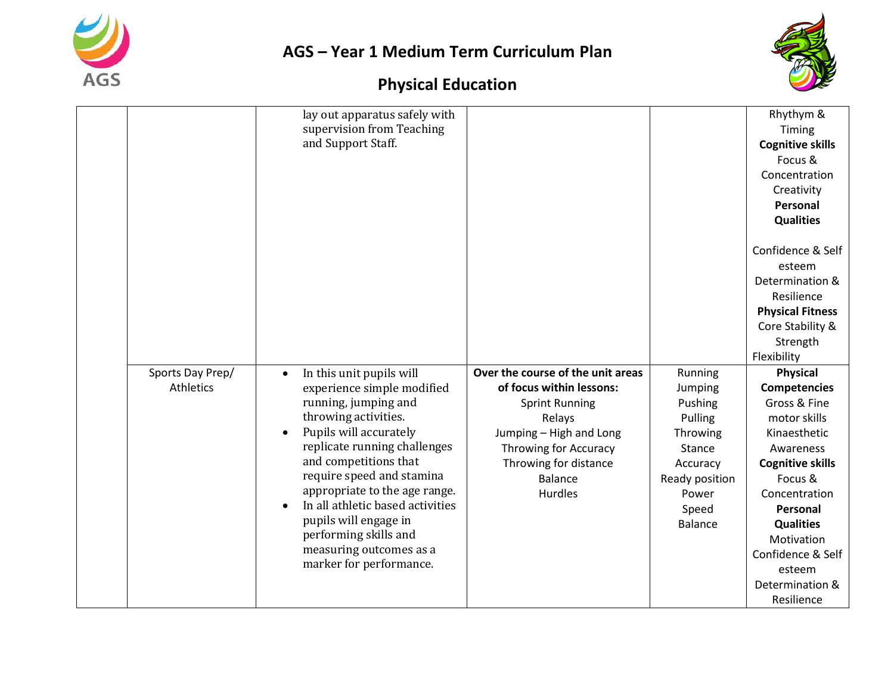



|                  | lay out apparatus safely with         |                                   |                | Rhythym &               |
|------------------|---------------------------------------|-----------------------------------|----------------|-------------------------|
|                  | supervision from Teaching             |                                   |                | Timing                  |
|                  | and Support Staff.                    |                                   |                | <b>Cognitive skills</b> |
|                  |                                       |                                   |                | Focus &                 |
|                  |                                       |                                   |                | Concentration           |
|                  |                                       |                                   |                | Creativity              |
|                  |                                       |                                   |                | Personal                |
|                  |                                       |                                   |                | <b>Qualities</b>        |
|                  |                                       |                                   |                |                         |
|                  |                                       |                                   |                | Confidence & Self       |
|                  |                                       |                                   |                | esteem                  |
|                  |                                       |                                   |                | Determination &         |
|                  |                                       |                                   |                | Resilience              |
|                  |                                       |                                   |                | <b>Physical Fitness</b> |
|                  |                                       |                                   |                | Core Stability &        |
|                  |                                       |                                   |                | Strength                |
|                  |                                       |                                   |                | Flexibility             |
| Sports Day Prep/ | In this unit pupils will<br>$\bullet$ | Over the course of the unit areas | Running        | <b>Physical</b>         |
| <b>Athletics</b> | experience simple modified            | of focus within lessons:          | Jumping        | <b>Competencies</b>     |
|                  | running, jumping and                  | <b>Sprint Running</b>             | Pushing        | Gross & Fine            |
|                  | throwing activities.                  | Relays                            | Pulling        | motor skills            |
|                  | Pupils will accurately                | Jumping - High and Long           | Throwing       | Kinaesthetic            |
|                  | replicate running challenges          | Throwing for Accuracy             | Stance         | Awareness               |
|                  | and competitions that                 | Throwing for distance             | Accuracy       | <b>Cognitive skills</b> |
|                  | require speed and stamina             | <b>Balance</b>                    | Ready position | Focus &                 |
|                  | appropriate to the age range.         | Hurdles                           | Power          | Concentration           |
|                  | In all athletic based activities      |                                   | Speed          | Personal                |
|                  | pupils will engage in                 |                                   | <b>Balance</b> | <b>Qualities</b>        |
|                  | performing skills and                 |                                   |                | Motivation              |
|                  | measuring outcomes as a               |                                   |                | Confidence & Self       |
|                  | marker for performance.               |                                   |                | esteem                  |
|                  |                                       |                                   |                | Determination &         |
|                  |                                       |                                   |                | Resilience              |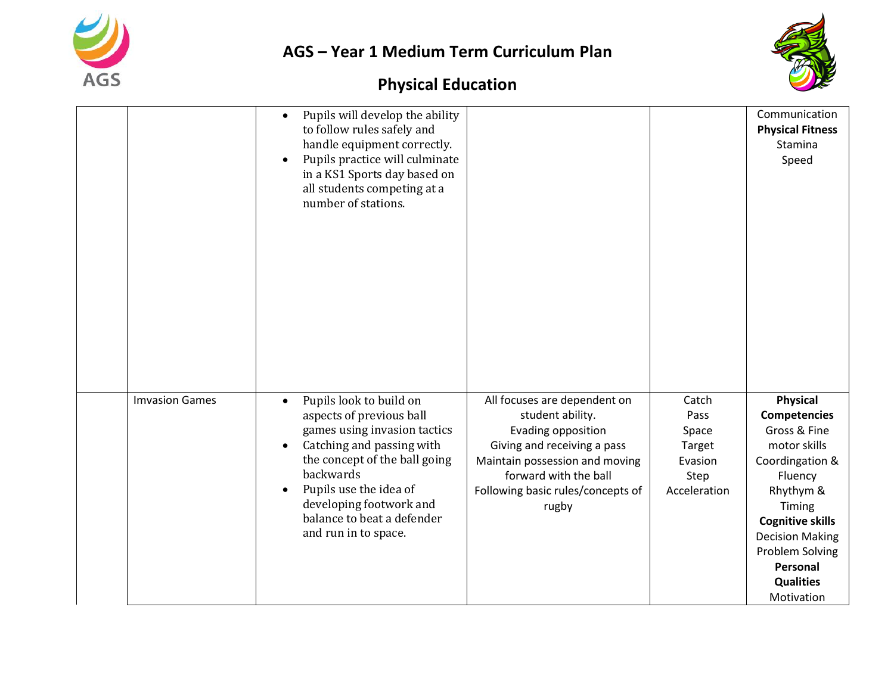



|                       | Pupils will develop the ability<br>to follow rules safely and<br>handle equipment correctly.<br>Pupils practice will culminate<br>in a KS1 Sports day based on<br>all students competing at a<br>number of stations.                                                                   |                                                                                                                                                                                                                |                                                                     | Communication<br><b>Physical Fitness</b><br>Stamina<br>Speed                                                                                                                                                                                             |
|-----------------------|----------------------------------------------------------------------------------------------------------------------------------------------------------------------------------------------------------------------------------------------------------------------------------------|----------------------------------------------------------------------------------------------------------------------------------------------------------------------------------------------------------------|---------------------------------------------------------------------|----------------------------------------------------------------------------------------------------------------------------------------------------------------------------------------------------------------------------------------------------------|
| <b>Imvasion Games</b> | Pupils look to build on<br>$\bullet$<br>aspects of previous ball<br>games using invasion tactics<br>Catching and passing with<br>the concept of the ball going<br>backwards<br>Pupils use the idea of<br>developing footwork and<br>balance to beat a defender<br>and run in to space. | All focuses are dependent on<br>student ability.<br>Evading opposition<br>Giving and receiving a pass<br>Maintain possession and moving<br>forward with the ball<br>Following basic rules/concepts of<br>rugby | Catch<br>Pass<br>Space<br>Target<br>Evasion<br>Step<br>Acceleration | <b>Physical</b><br><b>Competencies</b><br>Gross & Fine<br>motor skills<br>Coordingation &<br>Fluency<br>Rhythym &<br>Timing<br><b>Cognitive skills</b><br><b>Decision Making</b><br><b>Problem Solving</b><br>Personal<br><b>Qualities</b><br>Motivation |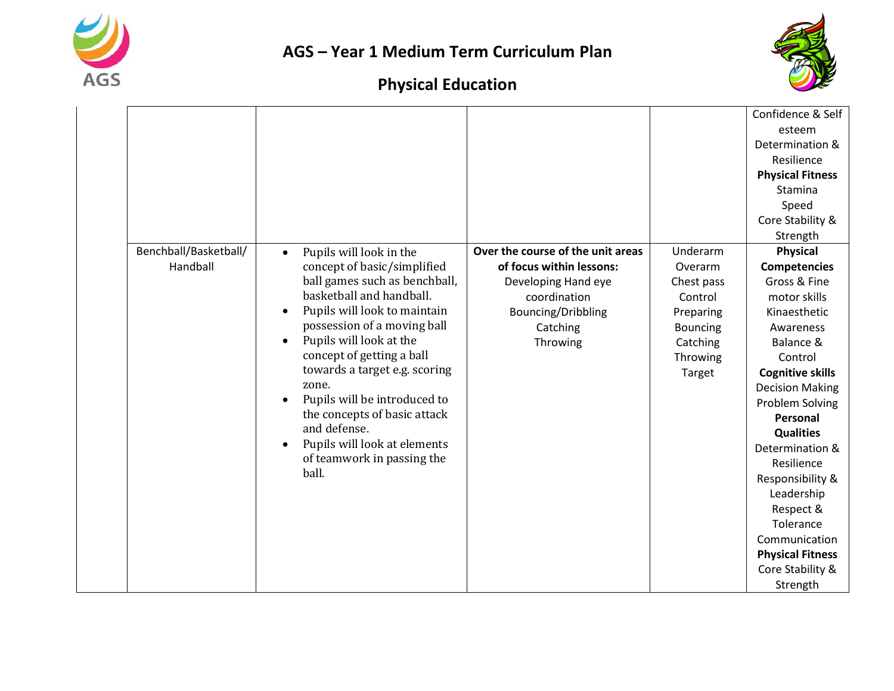



|                       |                                           |                                   |                 | Confidence & Self       |
|-----------------------|-------------------------------------------|-----------------------------------|-----------------|-------------------------|
|                       |                                           |                                   |                 | esteem                  |
|                       |                                           |                                   |                 | Determination &         |
|                       |                                           |                                   |                 | Resilience              |
|                       |                                           |                                   |                 | <b>Physical Fitness</b> |
|                       |                                           |                                   |                 | Stamina                 |
|                       |                                           |                                   |                 | Speed                   |
|                       |                                           |                                   |                 | Core Stability &        |
|                       |                                           |                                   |                 | Strength                |
| Benchball/Basketball/ | Pupils will look in the<br>$\bullet$      | Over the course of the unit areas | Underarm        | <b>Physical</b>         |
| Handball              | concept of basic/simplified               | of focus within lessons:          | Overarm         | <b>Competencies</b>     |
|                       | ball games such as benchball,             | Developing Hand eye               | Chest pass      | Gross & Fine            |
|                       | basketball and handball.                  | coordination                      | Control         | motor skills            |
|                       | Pupils will look to maintain<br>$\bullet$ | Bouncing/Dribbling                | Preparing       | Kinaesthetic            |
|                       | possession of a moving ball               | Catching                          | <b>Bouncing</b> | Awareness               |
|                       | Pupils will look at the                   | Throwing                          | Catching        | Balance &               |
|                       | concept of getting a ball                 |                                   | Throwing        | Control                 |
|                       | towards a target e.g. scoring             |                                   | Target          | <b>Cognitive skills</b> |
|                       | zone.                                     |                                   |                 | <b>Decision Making</b>  |
|                       | Pupils will be introduced to              |                                   |                 | Problem Solving         |
|                       | the concepts of basic attack              |                                   |                 | Personal                |
|                       | and defense.                              |                                   |                 | <b>Qualities</b>        |
|                       | Pupils will look at elements              |                                   |                 | Determination &         |
|                       | of teamwork in passing the<br>ball.       |                                   |                 | Resilience              |
|                       |                                           |                                   |                 | Responsibility &        |
|                       |                                           |                                   |                 | Leadership              |
|                       |                                           |                                   |                 | Respect &               |
|                       |                                           |                                   |                 | Tolerance               |
|                       |                                           |                                   |                 | Communication           |
|                       |                                           |                                   |                 | <b>Physical Fitness</b> |
|                       |                                           |                                   |                 | Core Stability &        |
|                       |                                           |                                   |                 | Strength                |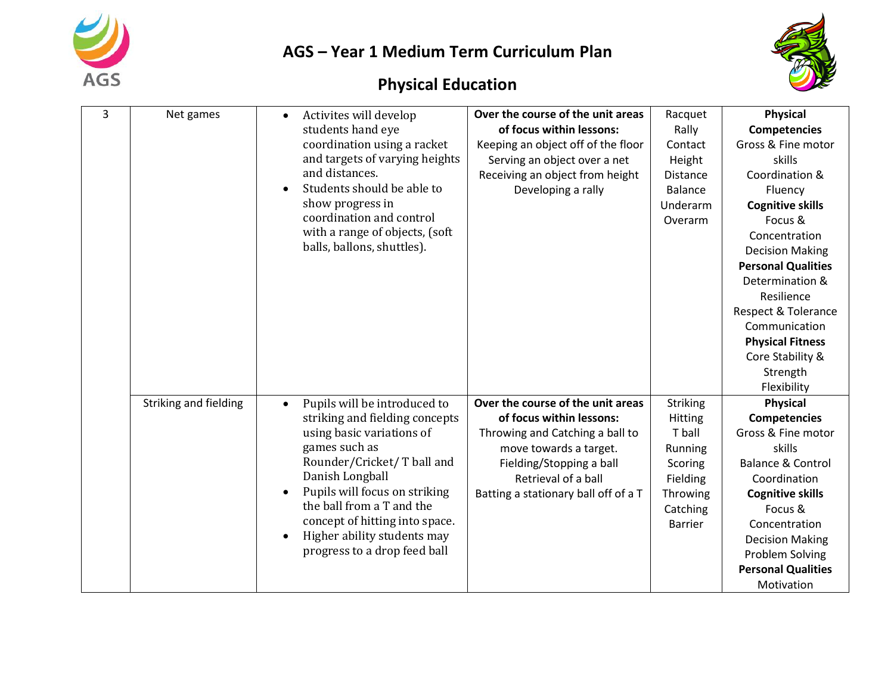



| 3 | Net games             | Activites will develop<br>students hand eye | Over the course of the unit areas<br>of focus within lessons: | Racquet<br>Rally | <b>Physical</b><br><b>Competencies</b> |
|---|-----------------------|---------------------------------------------|---------------------------------------------------------------|------------------|----------------------------------------|
|   |                       |                                             |                                                               |                  |                                        |
|   |                       | coordination using a racket                 | Keeping an object off of the floor                            | Contact          | Gross & Fine motor                     |
|   |                       | and targets of varying heights              | Serving an object over a net                                  | Height           | skills                                 |
|   |                       | and distances.                              | Receiving an object from height                               | Distance         | Coordination &                         |
|   |                       | Students should be able to                  | Developing a rally                                            | Balance          | Fluency                                |
|   |                       | show progress in                            |                                                               | Underarm         | <b>Cognitive skills</b>                |
|   |                       | coordination and control                    |                                                               | Overarm          | Focus &                                |
|   |                       | with a range of objects, (soft              |                                                               |                  | Concentration                          |
|   |                       | balls, ballons, shuttles).                  |                                                               |                  | <b>Decision Making</b>                 |
|   |                       |                                             |                                                               |                  | <b>Personal Qualities</b>              |
|   |                       |                                             |                                                               |                  | Determination &                        |
|   |                       |                                             |                                                               |                  | Resilience                             |
|   |                       |                                             |                                                               |                  | <b>Respect &amp; Tolerance</b>         |
|   |                       |                                             |                                                               |                  | Communication                          |
|   |                       |                                             |                                                               |                  | <b>Physical Fitness</b>                |
|   |                       |                                             |                                                               |                  | Core Stability &                       |
|   |                       |                                             |                                                               |                  | Strength                               |
|   |                       |                                             |                                                               |                  |                                        |
|   |                       |                                             |                                                               |                  | Flexibility                            |
|   | Striking and fielding | Pupils will be introduced to<br>$\bullet$   | Over the course of the unit areas                             | <b>Striking</b>  | <b>Physical</b>                        |
|   |                       | striking and fielding concepts              | of focus within lessons:                                      | Hitting          | <b>Competencies</b>                    |
|   |                       | using basic variations of                   | Throwing and Catching a ball to                               | T ball           | Gross & Fine motor                     |
|   |                       | games such as                               | move towards a target.                                        | Running          | skills                                 |
|   |                       | Rounder/Cricket/ T ball and                 | Fielding/Stopping a ball                                      | Scoring          | <b>Balance &amp; Control</b>           |
|   |                       | Danish Longball                             | Retrieval of a ball                                           | Fielding         | Coordination                           |
|   |                       | Pupils will focus on striking<br>$\bullet$  | Batting a stationary ball off of a T                          | Throwing         | <b>Cognitive skills</b>                |
|   |                       | the ball from a T and the                   |                                                               | Catching         | Focus &                                |
|   |                       | concept of hitting into space.              |                                                               | <b>Barrier</b>   | Concentration                          |
|   |                       | Higher ability students may                 |                                                               |                  | <b>Decision Making</b>                 |
|   |                       | progress to a drop feed ball                |                                                               |                  | <b>Problem Solving</b>                 |
|   |                       |                                             |                                                               |                  | <b>Personal Qualities</b>              |
|   |                       |                                             |                                                               |                  | Motivation                             |